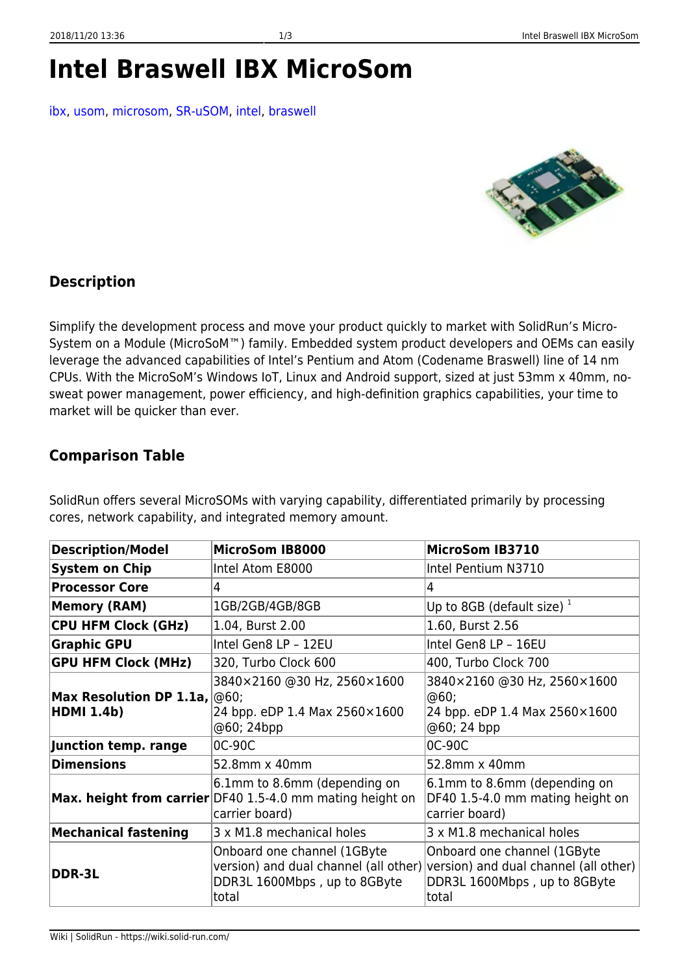## **Intel Braswell IBX MicroSom**

[ibx](https://wiki.solid-run.com/doku.php?id=tag:ibx&do=showtag&tag=ibx), [usom,](https://wiki.solid-run.com/doku.php?id=tag:usom&do=showtag&tag=usom) [microsom,](https://wiki.solid-run.com/doku.php?id=tag:microsom&do=showtag&tag=microsom) [SR-uSOM,](https://wiki.solid-run.com/doku.php?id=tag:sr-usom&do=showtag&tag=SR-uSOM) [intel,](https://wiki.solid-run.com/doku.php?id=tag:intel&do=showtag&tag=intel) [braswell](https://wiki.solid-run.com/doku.php?id=tag:braswell&do=showtag&tag=braswell)



## **Description**

Simplify the development process and move your product quickly to market with SolidRun's Micro-System on a Module (MicroSoM™) family. Embedded system product developers and OEMs can easily leverage the advanced capabilities of Intel's Pentium and Atom (Codename Braswell) line of 14 nm CPUs. With the MicroSoM's Windows IoT, Linux and Android support, sized at just 53mm x 40mm, nosweat power management, power efficiency, and high-definition graphics capabilities, your time to market will be quicker than ever.

## **Comparison Table**

SolidRun offers several MicroSOMs with varying capability, differentiated primarily by processing cores, network capability, and integrated memory amount.

| <b>Description/Model</b>                                                 | <b>MicroSom IB8000</b>                                                                                             | MicroSom IB3710                                                                                                                                     |
|--------------------------------------------------------------------------|--------------------------------------------------------------------------------------------------------------------|-----------------------------------------------------------------------------------------------------------------------------------------------------|
| <b>System on Chip</b>                                                    | Intel Atom E8000                                                                                                   | Intel Pentium N3710                                                                                                                                 |
| <b>Processor Core</b>                                                    | 4                                                                                                                  | 4                                                                                                                                                   |
| <b>Memory (RAM)</b>                                                      | 1GB/2GB/4GB/8GB                                                                                                    | Up to 8GB (default size) $^1$                                                                                                                       |
| <b>CPU HFM Clock (GHz)</b>                                               | 1.04, Burst 2.00                                                                                                   | 1.60, Burst 2.56                                                                                                                                    |
| <b>Graphic GPU</b>                                                       | Intel Gen8 LP - 12EU                                                                                               | Intel Gen8 LP - 16EU                                                                                                                                |
| <b>GPU HFM Clock (MHz)</b>                                               | 320, Turbo Clock 600                                                                                               | 400, Turbo Clock 700                                                                                                                                |
| <b>Max Resolution DP 1.1a, <math>\phi</math>60;</b><br><b>HDMI 1.4b)</b> | 3840×2160 @30 Hz, 2560×1600<br>24 bpp. eDP 1.4 Max 2560×1600<br>@60; 24bpp                                         | 3840×2160 @30 Hz, 2560×1600<br>@60;<br>24 bpp. eDP 1.4 Max 2560×1600<br>@60; 24 bpp                                                                 |
| Junction temp. range                                                     | 0C-90C                                                                                                             | 0C-90C                                                                                                                                              |
| <b>Dimensions</b>                                                        | 52.8mm x 40mm                                                                                                      | 52.8mm x 40mm                                                                                                                                       |
|                                                                          | 6.1mm to 8.6mm (depending on<br><b>Max. height from carrier</b> DF40 1.5-4.0 mm mating height on<br>carrier board) | 6.1mm to 8.6mm (depending on<br>DF40 1.5-4.0 mm mating height on<br>carrier board)                                                                  |
| <b>Mechanical fastening</b>                                              | 3 x M1.8 mechanical holes                                                                                          | 3 x M1.8 mechanical holes                                                                                                                           |
| DDR-3L                                                                   | Onboard one channel (1GByte<br>DDR3L 1600Mbps, up to 8GByte<br>total                                               | Onboard one channel (1GByte<br>version) and dual channel (all other) version) and dual channel (all other)<br>DDR3L 1600Mbps, up to 8GByte<br>total |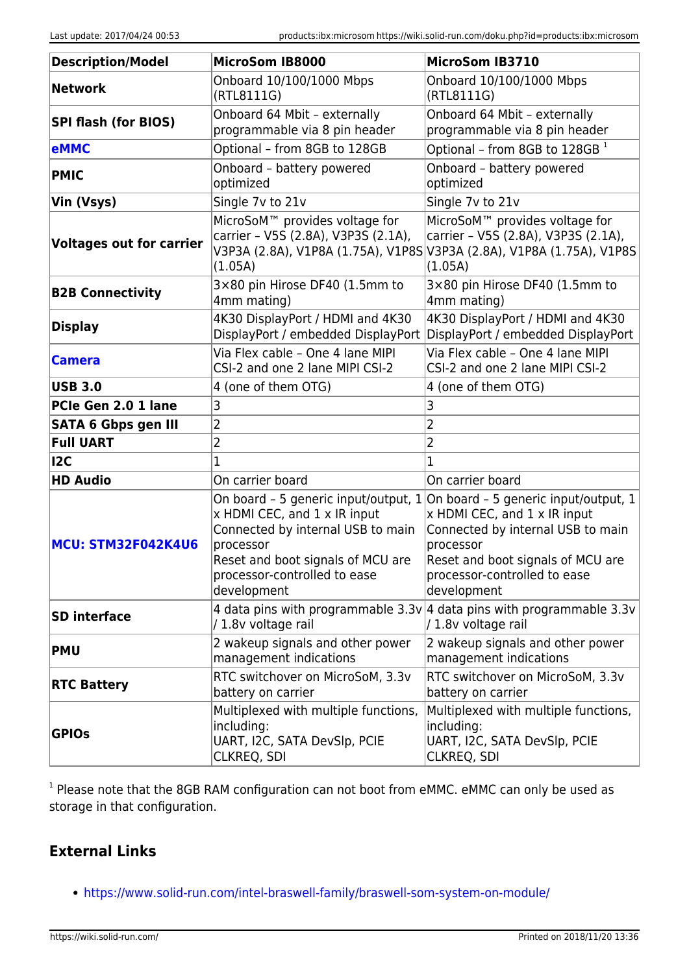| <b>Description/Model</b>        | <b>MicroSom IB8000</b>                                                                                                                                             | MicroSom IB3710                                                                                                                                                                                                                                    |
|---------------------------------|--------------------------------------------------------------------------------------------------------------------------------------------------------------------|----------------------------------------------------------------------------------------------------------------------------------------------------------------------------------------------------------------------------------------------------|
| <b>Network</b>                  | Onboard 10/100/1000 Mbps<br>(RTL8111G)                                                                                                                             | Onboard 10/100/1000 Mbps<br>(RTL8111G)                                                                                                                                                                                                             |
| <b>SPI flash (for BIOS)</b>     | Onboard 64 Mbit - externally<br>programmable via 8 pin header                                                                                                      | Onboard 64 Mbit - externally<br>programmable via 8 pin header                                                                                                                                                                                      |
| <b>eMMC</b>                     | Optional - from 8GB to 128GB                                                                                                                                       | Optional - from 8GB to 128GB <sup>1</sup>                                                                                                                                                                                                          |
| <b>PMIC</b>                     | Onboard - battery powered<br>optimized                                                                                                                             | Onboard - battery powered<br>optimized                                                                                                                                                                                                             |
| Vin (Vsys)                      | Single 7v to 21v                                                                                                                                                   | Single 7v to 21v                                                                                                                                                                                                                                   |
| <b>Voltages out for carrier</b> | MicroSoM <sup>™</sup> provides voltage for<br>carrier - V5S (2.8A), V3P3S (2.1A),<br>(1.05A)                                                                       | MicroSoM <sup>™</sup> provides voltage for<br>carrier - V5S (2.8A), V3P3S (2.1A),<br>V3P3A (2.8A), V1P8A (1.75A), V1P8S V3P3A (2.8A), V1P8A (1.75A), V1P8S<br>(1.05A)                                                                              |
| <b>B2B Connectivity</b>         | 3×80 pin Hirose DF40 (1.5mm to<br>4mm mating)                                                                                                                      | 3×80 pin Hirose DF40 (1.5mm to<br>4mm mating)                                                                                                                                                                                                      |
| <b>Display</b>                  | 4K30 DisplayPort / HDMI and 4K30<br>DisplayPort / embedded DisplayPort                                                                                             | 4K30 DisplayPort / HDMI and 4K30<br>DisplayPort / embedded DisplayPort                                                                                                                                                                             |
| <b>Camera</b>                   | Via Flex cable - One 4 lane MIPI<br>CSI-2 and one 2 lane MIPI CSI-2                                                                                                | Via Flex cable - One 4 lane MIPI<br>CSI-2 and one 2 lane MIPI CSI-2                                                                                                                                                                                |
| <b>USB 3.0</b>                  | 4 (one of them OTG)                                                                                                                                                | 4 (one of them OTG)                                                                                                                                                                                                                                |
| PCIe Gen 2.0 1 lane             | 3                                                                                                                                                                  | 3                                                                                                                                                                                                                                                  |
| <b>SATA 6 Gbps gen III</b>      | 2                                                                                                                                                                  | $\overline{2}$                                                                                                                                                                                                                                     |
| <b>Full UART</b>                | 2                                                                                                                                                                  | $\overline{2}$                                                                                                                                                                                                                                     |
| 12C                             |                                                                                                                                                                    |                                                                                                                                                                                                                                                    |
| <b>HD Audio</b>                 | On carrier board                                                                                                                                                   | On carrier board                                                                                                                                                                                                                                   |
| MCU: STM32F042K4U6              | x HDMI CEC, and 1 x IR input<br>Connected by internal USB to main<br>processor<br>Reset and boot signals of MCU are<br>processor-controlled to ease<br>development | On board - 5 generic input/output, $1 $ On board - 5 generic input/output, 1<br>x HDMI CEC, and 1 x IR input<br>Connected by internal USB to main<br>processor<br>Reset and boot signals of MCU are<br>processor-controlled to ease<br>development |
| <b>SD</b> interface             | /1.8v voltage rail                                                                                                                                                 | 4 data pins with programmable $3.3v/4$ data pins with programmable $3.3v$<br>/ 1.8v voltage rail                                                                                                                                                   |
| <b>PMU</b>                      | 2 wakeup signals and other power<br>management indications                                                                                                         | 2 wakeup signals and other power<br>management indications                                                                                                                                                                                         |
| <b>RTC Battery</b>              | RTC switchover on MicroSoM, 3.3v<br>battery on carrier                                                                                                             | RTC switchover on MicroSoM, 3.3v<br>battery on carrier                                                                                                                                                                                             |
| <b>GPIOS</b>                    | Multiplexed with multiple functions,<br>including:<br>UART, I2C, SATA DevSlp, PCIE<br>CLKREQ, SDI                                                                  | Multiplexed with multiple functions,<br>including:<br>UART, I2C, SATA DevSlp, PCIE<br><b>CLKREQ, SDI</b>                                                                                                                                           |

<sup>1</sup> Please note that the 8GB RAM configuration can not boot from eMMC. eMMC can only be used as storage in that configuration.

## **External Links**

<https://www.solid-run.com/intel-braswell-family/braswell-som-system-on-module/>